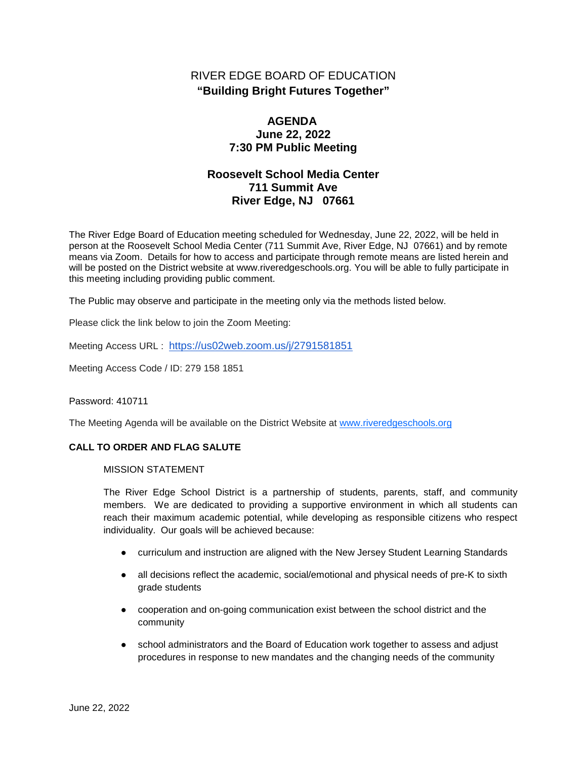# RIVER EDGE BOARD OF EDUCATION **"Building Bright Futures Together"**

## **AGENDA June 22, 2022 7:30 PM Public Meeting**

# **Roosevelt School Media Center 711 Summit Ave River Edge, NJ 07661**

The River Edge Board of Education meeting scheduled for Wednesday, June 22, 2022, will be held in person at the Roosevelt School Media Center (711 Summit Ave, River Edge, NJ 07661) and by remote means via Zoom. Details for how to access and participate through remote means are listed herein and will be posted on the District website at www.riveredgeschools.org. You will be able to fully participate in this meeting including providing public comment.

The Public may observe and participate in the meeting only via the methods listed below.

Please click the link below to join the Zoom Meeting:

Meeting Access URL : <https://us02web.zoom.us/j/2791581851>

Meeting Access Code / ID: 279 158 1851

Password: 410711

The Meeting Agenda will be available on the District Website at www[.riveredgeschools.org](http://riveredgeschools.org/)

### **CALL TO ORDER AND FLAG SALUTE**

MISSION STATEMENT

The River Edge School District is a partnership of students, parents, staff, and community members. We are dedicated to providing a supportive environment in which all students can reach their maximum academic potential, while developing as responsible citizens who respect individuality. Our goals will be achieved because:

- curriculum and instruction are aligned with the New Jersey Student Learning Standards
- all decisions reflect the academic, social/emotional and physical needs of pre-K to sixth grade students
- cooperation and on-going communication exist between the school district and the community
- school administrators and the Board of Education work together to assess and adjust procedures in response to new mandates and the changing needs of the community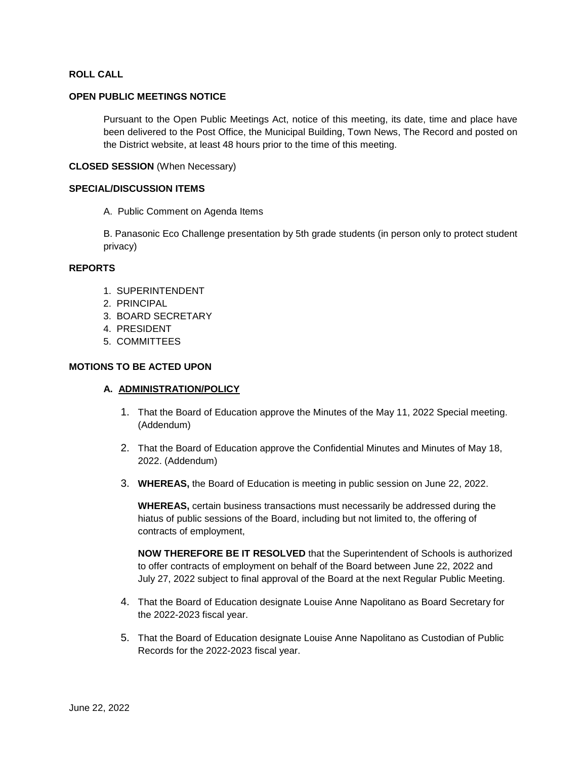## **ROLL CALL**

#### **OPEN PUBLIC MEETINGS NOTICE**

Pursuant to the Open Public Meetings Act, notice of this meeting, its date, time and place have been delivered to the Post Office, the Municipal Building, Town News, The Record and posted on the District website, at least 48 hours prior to the time of this meeting.

## **CLOSED SESSION** (When Necessary)

#### **SPECIAL/DISCUSSION ITEMS**

A. Public Comment on Agenda Items

B. Panasonic Eco Challenge presentation by 5th grade students (in person only to protect student privacy)

## **REPORTS**

- 1. SUPERINTENDENT
- 2. PRINCIPAL
- 3. BOARD SECRETARY
- 4. PRESIDENT
- 5. COMMITTEES

#### **MOTIONS TO BE ACTED UPON**

#### **A. ADMINISTRATION/POLICY**

- 1. That the Board of Education approve the Minutes of the May 11, 2022 Special meeting. (Addendum)
- 2. That the Board of Education approve the Confidential Minutes and Minutes of May 18, 2022. (Addendum)
- 3. **WHEREAS,** the Board of Education is meeting in public session on June 22, 2022.

**WHEREAS,** certain business transactions must necessarily be addressed during the hiatus of public sessions of the Board, including but not limited to, the offering of contracts of employment,

**NOW THEREFORE BE IT RESOLVED** that the Superintendent of Schools is authorized to offer contracts of employment on behalf of the Board between June 22, 2022 and July 27, 2022 subject to final approval of the Board at the next Regular Public Meeting.

- 4. That the Board of Education designate Louise Anne Napolitano as Board Secretary for the 2022-2023 fiscal year.
- 5. That the Board of Education designate Louise Anne Napolitano as Custodian of Public Records for the 2022-2023 fiscal year.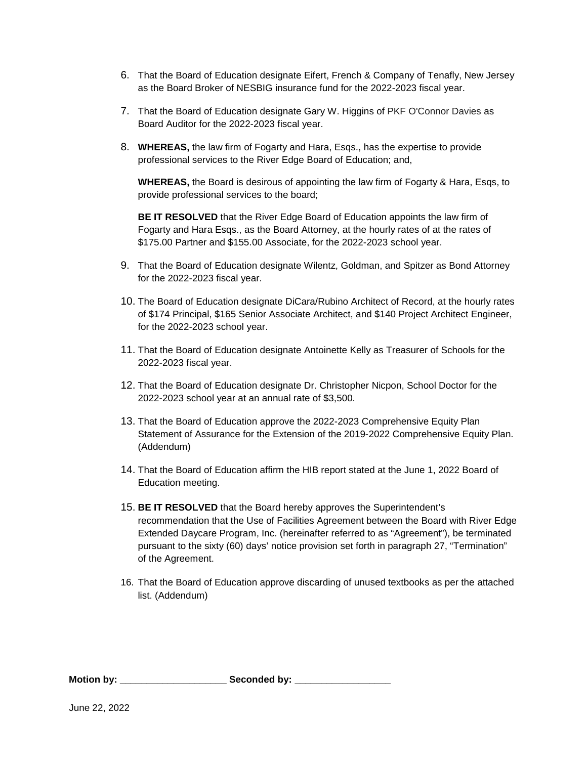- 6. That the Board of Education designate Eifert, French & Company of Tenafly, New Jersey as the Board Broker of NESBIG insurance fund for the 2022-2023 fiscal year.
- 7. That the Board of Education designate Gary W. Higgins of PKF O'Connor Davies as Board Auditor for the 2022-2023 fiscal year.
- 8. **WHEREAS,** the law firm of Fogarty and Hara, Esqs., has the expertise to provide professional services to the River Edge Board of Education; and,

**WHEREAS,** the Board is desirous of appointing the law firm of Fogarty & Hara, Esqs, to provide professional services to the board;

**BE IT RESOLVED** that the River Edge Board of Education appoints the law firm of Fogarty and Hara Esqs., as the Board Attorney, at the hourly rates of at the rates of \$175.00 Partner and \$155.00 Associate, for the 2022-2023 school year.

- 9. That the Board of Education designate Wilentz, Goldman, and Spitzer as Bond Attorney for the 2022-2023 fiscal year.
- 10. The Board of Education designate DiCara/Rubino Architect of Record, at the hourly rates of \$174 Principal, \$165 Senior Associate Architect, and \$140 Project Architect Engineer, for the 2022-2023 school year.
- 11. That the Board of Education designate Antoinette Kelly as Treasurer of Schools for the 2022-2023 fiscal year.
- 12. That the Board of Education designate Dr. Christopher Nicpon, School Doctor for the 2022-2023 school year at an annual rate of \$3,500.
- 13. That the Board of Education approve the 2022-2023 Comprehensive Equity Plan Statement of Assurance for the Extension of the 2019-2022 Comprehensive Equity Plan. (Addendum)
- 14. That the Board of Education affirm the HIB report stated at the June 1, 2022 Board of Education meeting.
- 15. **BE IT RESOLVED** that the Board hereby approves the Superintendent's recommendation that the Use of Facilities Agreement between the Board with River Edge Extended Daycare Program, Inc. (hereinafter referred to as "Agreement"), be terminated pursuant to the sixty (60) days' notice provision set forth in paragraph 27, "Termination" of the Agreement.
- 16. That the Board of Education approve discarding of unused textbooks as per the attached list. (Addendum)

**Motion by: \_\_\_\_\_\_\_\_\_\_\_\_\_\_\_\_\_\_\_\_ Seconded by: \_\_\_\_\_\_\_\_\_\_\_\_\_\_\_\_\_\_**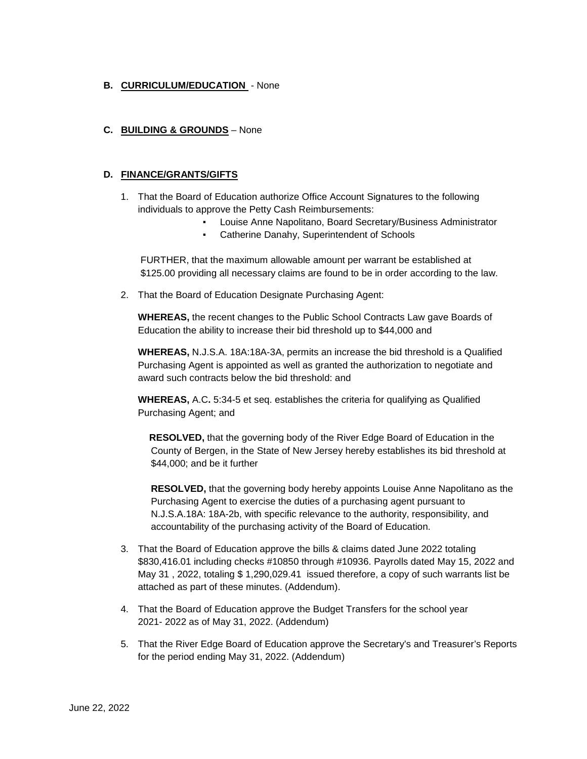## **B. CURRICULUM/EDUCATION** - None

## **C. BUILDING & GROUNDS** – None

## **D. FINANCE/GRANTS/GIFTS**

- 1. That the Board of Education authorize Office Account Signatures to the following individuals to approve the Petty Cash Reimbursements:
	- Louise Anne Napolitano, Board Secretary/Business Administrator
	- Catherine Danahy, Superintendent of Schools

FURTHER, that the maximum allowable amount per warrant be established at \$125.00 providing all necessary claims are found to be in order according to the law.

2. That the Board of Education Designate Purchasing Agent:

**WHEREAS,** the recent changes to the Public School Contracts Law gave Boards of Education the ability to increase their bid threshold up to \$44,000 and

**WHEREAS,** N.J.S.A. 18A:18A-3A, permits an increase the bid threshold is a Qualified Purchasing Agent is appointed as well as granted the authorization to negotiate and award such contracts below the bid threshold: and

**WHEREAS,** A.C**.** 5:34-5 et seq. establishes the criteria for qualifying as Qualified Purchasing Agent; and

**RESOLVED,** that the governing body of the River Edge Board of Education in the County of Bergen, in the State of New Jersey hereby establishes its bid threshold at \$44,000; and be it further

**RESOLVED,** that the governing body hereby appoints Louise Anne Napolitano as the Purchasing Agent to exercise the duties of a purchasing agent pursuant to N.J.S.A.18A: 18A-2b, with specific relevance to the authority, responsibility, and accountability of the purchasing activity of the Board of Education.

- 3. That the Board of Education approve the bills & claims dated June 2022 totaling \$830,416.01 including checks #10850 through #10936. Payrolls dated May 15, 2022 and May 31 , 2022, totaling \$ 1,290,029.41 issued therefore, a copy of such warrants list be attached as part of these minutes. (Addendum).
- 4. That the Board of Education approve the Budget Transfers for the school year 2021- 2022 as of May 31, 2022. (Addendum)
- 5. That the River Edge Board of Education approve the Secretary's and Treasurer's Reports for the period ending May 31, 2022. (Addendum)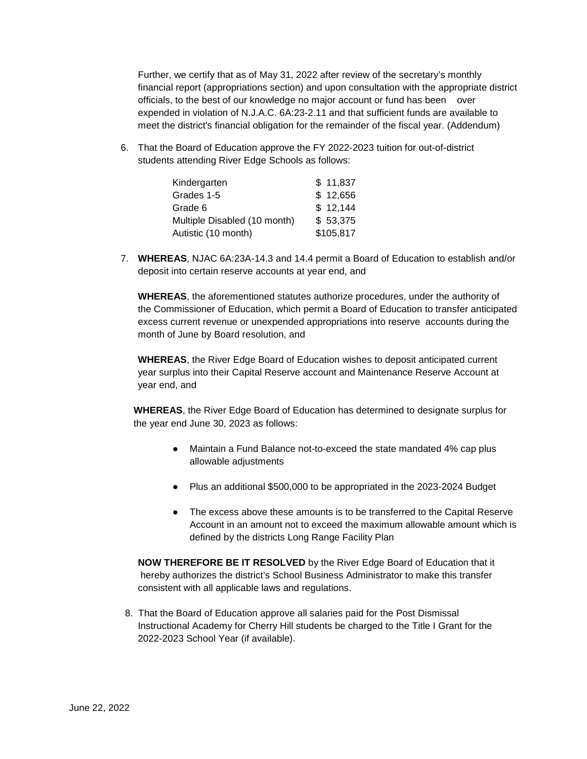Further, we certify that as of May 31, 2022 after review of the secretary's monthly financial report (appropriations section) and upon consultation with the appropriate district officials, to the best of our knowledge no major account or fund has been over expended in violation of N.J.A.C. 6A:23-2.11 and that sufficient funds are available to meet the district's financial obligation for the remainder of the fiscal year. (Addendum)

6. That the Board of Education approve the FY 2022-2023 tuition for out-of-district students attending River Edge Schools as follows:

| Kindergarten                 | \$11,837  |
|------------------------------|-----------|
| Grades 1-5                   | \$12,656  |
| Grade 6                      | \$12,144  |
| Multiple Disabled (10 month) | \$53,375  |
| Autistic (10 month)          | \$105,817 |

7. **WHEREAS**, NJAC 6A:23A-14.3 and 14.4 permit a Board of Education to establish and/or deposit into certain reserve accounts at year end, and

**WHEREAS**, the aforementioned statutes authorize procedures, under the authority of the Commissioner of Education, which permit a Board of Education to transfer anticipated excess current revenue or unexpended appropriations into reserve accounts during the month of June by Board resolution, and

**WHEREAS**, the River Edge Board of Education wishes to deposit anticipated current year surplus into their Capital Reserve account and Maintenance Reserve Account at year end, and

**WHEREAS**, the River Edge Board of Education has determined to designate surplus for the year end June 30, 2023 as follows:

- Maintain a Fund Balance not-to-exceed the state mandated 4% cap plus allowable adjustments
- Plus an additional \$500,000 to be appropriated in the 2023-2024 Budget
- The excess above these amounts is to be transferred to the Capital Reserve Account in an amount not to exceed the maximum allowable amount which is defined by the districts Long Range Facility Plan

**NOW THEREFORE BE IT RESOLVED** by the River Edge Board of Education that it hereby authorizes the district's School Business Administrator to make this transfer consistent with all applicable laws and regulations.

8.That the Board of Education approve all salaries paid for the Post Dismissal Instructional Academy for Cherry Hill students be charged to the Title I Grant for the 2022-2023 School Year (if available).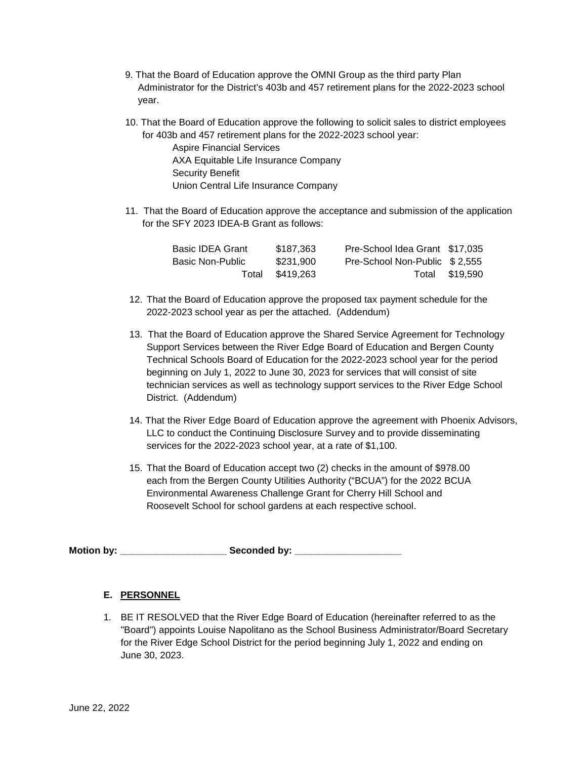- 9. That the Board of Education approve the OMNI Group as the third party Plan Administrator for the District's 403b and 457 retirement plans for the 2022-2023 school year.
- 10. That the Board of Education approve the following to solicit sales to district employees for 403b and 457 retirement plans for the 2022-2023 school year:

Aspire Financial Services AXA Equitable Life Insurance Company Security Benefit Union Central Life Insurance Company

11. That the Board of Education approve the acceptance and submission of the application for the SFY 2023 IDEA-B Grant as follows:

| <b>Basic IDEA Grant</b> | \$187.363 | Pre-School Idea Grant \$17,035 |                |
|-------------------------|-----------|--------------------------------|----------------|
| Basic Non-Public        | \$231,900 | Pre-School Non-Public \$2.555  |                |
| Total                   | \$419.263 |                                | Total \$19,590 |

- 12. That the Board of Education approve the proposed tax payment schedule for the 2022-2023 school year as per the attached. (Addendum)
- 13. That the Board of Education approve the Shared Service Agreement for Technology Support Services between the River Edge Board of Education and Bergen County Technical Schools Board of Education for the 2022-2023 school year for the period beginning on July 1, 2022 to June 30, 2023 for services that will consist of site technician services as well as technology support services to the River Edge School District. (Addendum)
- 14. That the River Edge Board of Education approve the agreement with Phoenix Advisors, LLC to conduct the Continuing Disclosure Survey and to provide disseminating services for the 2022-2023 school year, at a rate of \$1,100.
- 15. That the Board of Education accept two (2) checks in the amount of \$978.00 each from the Bergen County Utilities Authority ("BCUA") for the 2022 BCUA Environmental Awareness Challenge Grant for Cherry Hill School and Roosevelt School for school gardens at each respective school.

Motion by: **Example 20** Seconded by:

## **E. PERSONNEL**

1. BE IT RESOLVED that the River Edge Board of Education (hereinafter referred to as the "Board") appoints Louise Napolitano as the School Business Administrator/Board Secretary for the River Edge School District for the period beginning July 1, 2022 and ending on June 30, 2023.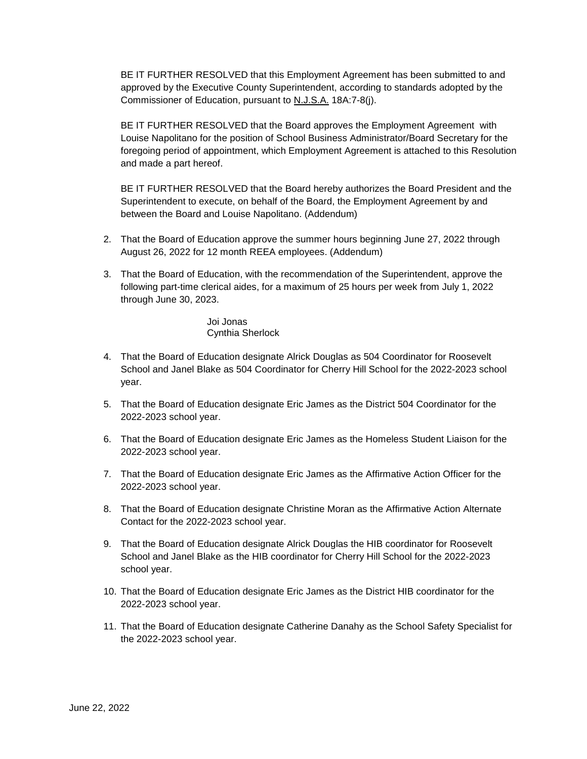BE IT FURTHER RESOLVED that this Employment Agreement has been submitted to and approved by the Executive County Superintendent, according to standards adopted by the Commissioner of Education, pursuant to N.J.S.A. 18A:7-8(j).

BE IT FURTHER RESOLVED that the Board approves the Employment Agreement with Louise Napolitano for the position of School Business Administrator/Board Secretary for the foregoing period of appointment, which Employment Agreement is attached to this Resolution and made a part hereof.

BE IT FURTHER RESOLVED that the Board hereby authorizes the Board President and the Superintendent to execute, on behalf of the Board, the Employment Agreement by and between the Board and Louise Napolitano. (Addendum)

- 2. That the Board of Education approve the summer hours beginning June 27, 2022 through August 26, 2022 for 12 month REEA employees. (Addendum)
- 3. That the Board of Education, with the recommendation of the Superintendent, approve the following part-time clerical aides, for a maximum of 25 hours per week from July 1, 2022 through June 30, 2023.

Joi Jonas Cynthia Sherlock

- 4. That the Board of Education designate Alrick Douglas as 504 Coordinator for Roosevelt School and Janel Blake as 504 Coordinator for Cherry Hill School for the 2022-2023 school year.
- 5. That the Board of Education designate Eric James as the District 504 Coordinator for the 2022-2023 school year.
- 6. That the Board of Education designate Eric James as the Homeless Student Liaison for the 2022-2023 school year.
- 7. That the Board of Education designate Eric James as the Affirmative Action Officer for the 2022-2023 school year.
- 8. That the Board of Education designate Christine Moran as the Affirmative Action Alternate Contact for the 2022-2023 school year.
- 9. That the Board of Education designate Alrick Douglas the HIB coordinator for Roosevelt School and Janel Blake as the HIB coordinator for Cherry Hill School for the 2022-2023 school year.
- 10. That the Board of Education designate Eric James as the District HIB coordinator for the 2022-2023 school year.
- 11. That the Board of Education designate Catherine Danahy as the School Safety Specialist for the 2022-2023 school year.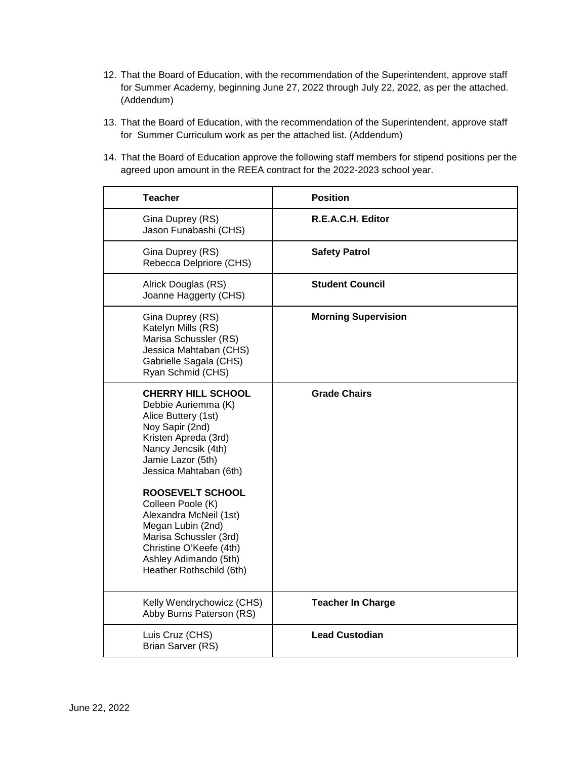- 12. That the Board of Education, with the recommendation of the Superintendent, approve staff for Summer Academy, beginning June 27, 2022 through July 22, 2022, as per the attached. (Addendum)
- 13. That the Board of Education, with the recommendation of the Superintendent, approve staff for Summer Curriculum work as per the attached list. (Addendum)
- 14. That the Board of Education approve the following staff members for stipend positions per the agreed upon amount in the REEA contract for the 2022-2023 school year.

| <b>Teacher</b>                                                                                                                                                                                                      | <b>Position</b>            |
|---------------------------------------------------------------------------------------------------------------------------------------------------------------------------------------------------------------------|----------------------------|
| Gina Duprey (RS)<br>Jason Funabashi (CHS)                                                                                                                                                                           | R.E.A.C.H. Editor          |
| Gina Duprey (RS)<br>Rebecca Delpriore (CHS)                                                                                                                                                                         | <b>Safety Patrol</b>       |
| Alrick Douglas (RS)<br>Joanne Haggerty (CHS)                                                                                                                                                                        | <b>Student Council</b>     |
| Gina Duprey (RS)<br>Katelyn Mills (RS)<br>Marisa Schussler (RS)<br>Jessica Mahtaban (CHS)<br>Gabrielle Sagala (CHS)<br>Ryan Schmid (CHS)                                                                            | <b>Morning Supervision</b> |
| <b>CHERRY HILL SCHOOL</b><br>Debbie Auriemma (K)<br>Alice Buttery (1st)<br>Noy Sapir (2nd)<br>Kristen Apreda (3rd)<br>Nancy Jencsik (4th)<br>Jamie Lazor (5th)<br>Jessica Mahtaban (6th)<br><b>ROOSEVELT SCHOOL</b> | <b>Grade Chairs</b>        |
| Colleen Poole (K)<br>Alexandra McNeil (1st)<br>Megan Lubin (2nd)<br>Marisa Schussler (3rd)<br>Christine O'Keefe (4th)<br>Ashley Adimando (5th)<br>Heather Rothschild (6th)                                          |                            |
| Kelly Wendrychowicz (CHS)<br>Abby Burns Paterson (RS)                                                                                                                                                               | <b>Teacher In Charge</b>   |
| Luis Cruz (CHS)<br>Brian Sarver (RS)                                                                                                                                                                                | <b>Lead Custodian</b>      |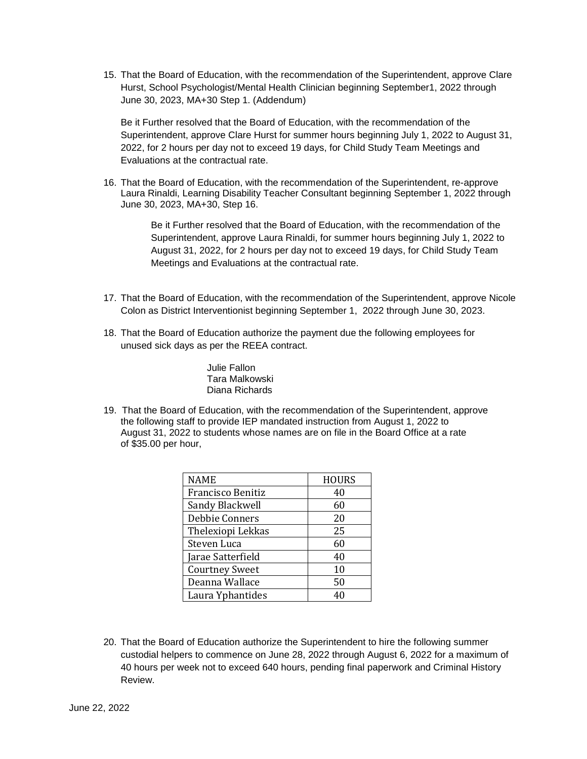15. That the Board of Education, with the recommendation of the Superintendent, approve Clare Hurst, School Psychologist/Mental Health Clinician beginning September1, 2022 through June 30, 2023, MA+30 Step 1. (Addendum)

Be it Further resolved that the Board of Education, with the recommendation of the Superintendent, approve Clare Hurst for summer hours beginning July 1, 2022 to August 31, 2022, for 2 hours per day not to exceed 19 days, for Child Study Team Meetings and Evaluations at the contractual rate.

16. That the Board of Education, with the recommendation of the Superintendent, re-approve Laura Rinaldi, Learning Disability Teacher Consultant beginning September 1, 2022 through June 30, 2023, MA+30, Step 16.

> Be it Further resolved that the Board of Education, with the recommendation of the Superintendent, approve Laura Rinaldi, for summer hours beginning July 1, 2022 to August 31, 2022, for 2 hours per day not to exceed 19 days, for Child Study Team Meetings and Evaluations at the contractual rate.

- 17. That the Board of Education, with the recommendation of the Superintendent, approve Nicole Colon as District Interventionist beginning September 1, 2022 through June 30, 2023.
- 18. That the Board of Education authorize the payment due the following employees for unused sick days as per the REEA contract.

Julie Fallon Tara Malkowski Diana Richards

19. That the Board of Education, with the recommendation of the Superintendent, approve the following staff to provide IEP mandated instruction from August 1, 2022 to August 31, 2022 to students whose names are on file in the Board Office at a rate of \$35.00 per hour,

| NAME                  | <b>HOURS</b> |
|-----------------------|--------------|
| Francisco Benitiz     | 40           |
| Sandy Blackwell       | 60           |
| Debbie Conners        | 20           |
| Thelexiopi Lekkas     | 25           |
| Steven Luca           | 60           |
| Jarae Satterfield     | 40           |
| <b>Courtney Sweet</b> | 10           |
| Deanna Wallace        | 50           |
| Laura Yphantides      | 40           |

20. That the Board of Education authorize the Superintendent to hire the following summer custodial helpers to commence on June 28, 2022 through August 6, 2022 for a maximum of 40 hours per week not to exceed 640 hours, pending final paperwork and Criminal History Review.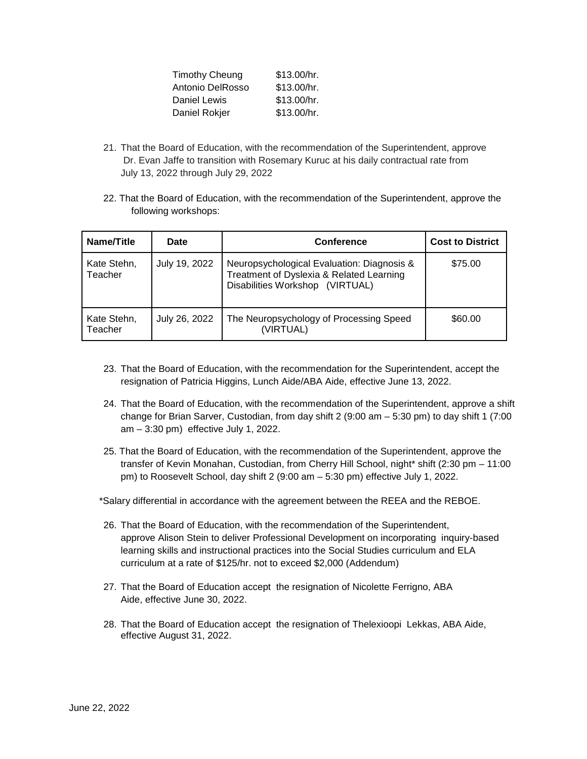| <b>Timothy Cheung</b> | \$13.00/hr. |
|-----------------------|-------------|
| Antonio DelRosso      | \$13.00/hr. |
| Daniel Lewis          | \$13.00/hr. |
| Daniel Rokjer         | \$13.00/hr. |

- 21. That the Board of Education, with the recommendation of the Superintendent, approve Dr. Evan Jaffe to transition with Rosemary Kuruc at his daily contractual rate from July 13, 2022 through July 29, 2022
- 22. That the Board of Education, with the recommendation of the Superintendent, approve the following workshops:

| Name/Title             | <b>Date</b>   | <b>Conference</b>                                                                                                         | <b>Cost to District</b> |
|------------------------|---------------|---------------------------------------------------------------------------------------------------------------------------|-------------------------|
| Kate Stehn,<br>Teacher | July 19, 2022 | Neuropsychological Evaluation: Diagnosis &<br>Treatment of Dyslexia & Related Learning<br>Disabilities Workshop (VIRTUAL) | \$75.00                 |
| Kate Stehn,<br>Teacher | July 26, 2022 | The Neuropsychology of Processing Speed<br>(VIRTUAL)                                                                      | \$60.00                 |

- 23. That the Board of Education, with the recommendation for the Superintendent, accept the resignation of Patricia Higgins, Lunch Aide/ABA Aide, effective June 13, 2022.
- 24. That the Board of Education, with the recommendation of the Superintendent, approve a shift change for Brian Sarver, Custodian, from day shift 2 (9:00 am – 5:30 pm) to day shift 1 (7:00 am – 3:30 pm) effective July 1, 2022.
- 25. That the Board of Education, with the recommendation of the Superintendent, approve the transfer of Kevin Monahan, Custodian, from Cherry Hill School, night\* shift (2:30 pm – 11:00 pm) to Roosevelt School, day shift 2 (9:00 am – 5:30 pm) effective July 1, 2022.

\*Salary differential in accordance with the agreement between the REEA and the REBOE.

- 26. That the Board of Education, with the recommendation of the Superintendent, approve Alison Stein to deliver Professional Development on incorporating inquiry-based learning skills and instructional practices into the Social Studies curriculum and ELA curriculum at a rate of \$125/hr. not to exceed \$2,000 (Addendum)
- 27. That the Board of Education accept the resignation of Nicolette Ferrigno, ABA Aide, effective June 30, 2022.
- 28. That the Board of Education accept the resignation of Thelexioopi Lekkas, ABA Aide, effective August 31, 2022.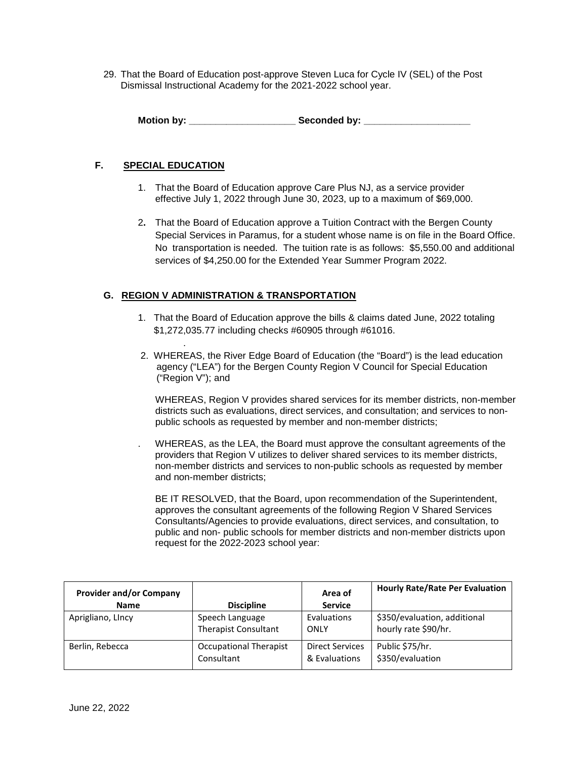29. That the Board of Education post-approve Steven Luca for Cycle IV (SEL) of the Post Dismissal Instructional Academy for the 2021-2022 school year.

**Motion by: \_\_\_\_\_\_\_\_\_\_\_\_\_\_\_\_\_\_\_\_ Seconded by: \_\_\_\_\_\_\_\_\_\_\_\_\_\_\_\_\_\_\_\_**

## **F. SPECIAL EDUCATION**

.

- 1. That the Board of Education approve Care Plus NJ, as a service provider effective July 1, 2022 through June 30, 2023, up to a maximum of \$69,000.
- 2**.** That the Board of Education approve a Tuition Contract with the Bergen County Special Services in Paramus, for a student whose name is on file in the Board Office. No transportation is needed. The tuition rate is as follows: \$5,550.00 and additional services of \$4,250.00 for the Extended Year Summer Program 2022.

## **G. REGION V ADMINISTRATION & TRANSPORTATION**

- 1. That the Board of Education approve the bills & claims dated June, 2022 totaling \$1,272,035.77 including checks #60905 through #61016.
- 2. WHEREAS, the River Edge Board of Education (the "Board") is the lead education agency ("LEA") for the Bergen County Region V Council for Special Education ("Region V"); and

WHEREAS, Region V provides shared services for its member districts, non-member districts such as evaluations, direct services, and consultation; and services to nonpublic schools as requested by member and non-member districts;

. WHEREAS, as the LEA, the Board must approve the consultant agreements of the providers that Region V utilizes to deliver shared services to its member districts, non-member districts and services to non-public schools as requested by member and non-member districts;

BE IT RESOLVED, that the Board, upon recommendation of the Superintendent, approves the consultant agreements of the following Region V Shared Services Consultants/Agencies to provide evaluations, direct services, and consultation, to public and non- public schools for member districts and non-member districts upon request for the 2022-2023 school year:

| <b>Provider and/or Company</b><br><b>Name</b> | <b>Discipline</b>             | Area of<br><b>Service</b> | <b>Hourly Rate/Rate Per Evaluation</b> |
|-----------------------------------------------|-------------------------------|---------------------------|----------------------------------------|
| Aprigliano, Lincy                             | Speech Language               | Evaluations               | \$350/evaluation, additional           |
|                                               | <b>Therapist Consultant</b>   | ONLY                      | hourly rate \$90/hr.                   |
| Berlin, Rebecca                               | <b>Occupational Therapist</b> | <b>Direct Services</b>    | Public \$75/hr.                        |
|                                               | Consultant                    | & Evaluations             | \$350/evaluation                       |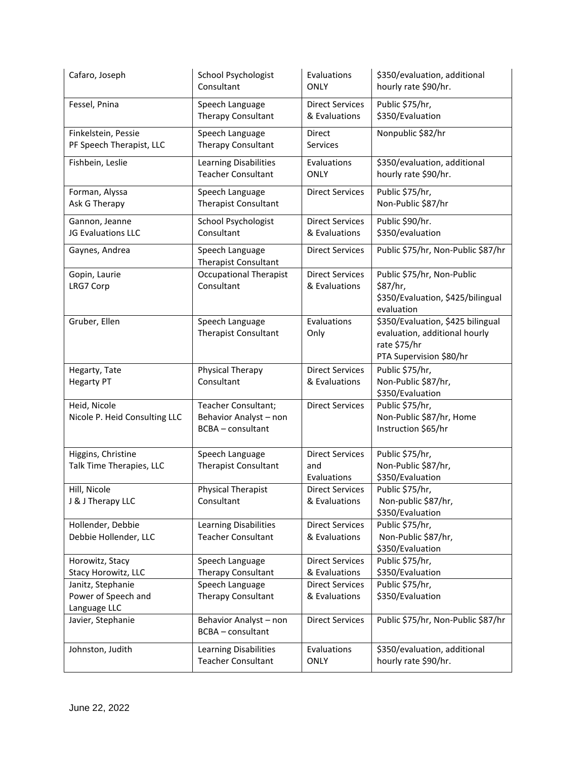| Cafaro, Joseph                                           | <b>School Psychologist</b><br>Consultant                                  | Evaluations<br><b>ONLY</b>                   | \$350/evaluation, additional<br>hourly rate \$90/hr.                                                          |
|----------------------------------------------------------|---------------------------------------------------------------------------|----------------------------------------------|---------------------------------------------------------------------------------------------------------------|
| Fessel, Pnina                                            | Speech Language<br>Therapy Consultant                                     | <b>Direct Services</b><br>& Evaluations      | Public \$75/hr,<br>\$350/Evaluation                                                                           |
| Finkelstein, Pessie<br>PF Speech Therapist, LLC          | Speech Language<br>Therapy Consultant                                     | <b>Direct</b><br>Services                    | Nonpublic \$82/hr                                                                                             |
| Fishbein, Leslie                                         | Learning Disabilities<br><b>Teacher Consultant</b>                        | Evaluations<br><b>ONLY</b>                   | \$350/evaluation, additional<br>hourly rate \$90/hr.                                                          |
| Forman, Alyssa<br>Ask G Therapy                          | Speech Language<br><b>Therapist Consultant</b>                            | <b>Direct Services</b>                       | Public \$75/hr,<br>Non-Public \$87/hr                                                                         |
| Gannon, Jeanne<br>JG Evaluations LLC                     | School Psychologist<br>Consultant                                         | <b>Direct Services</b><br>& Evaluations      | Public \$90/hr.<br>\$350/evaluation                                                                           |
| Gaynes, Andrea                                           | Speech Language<br><b>Therapist Consultant</b>                            | <b>Direct Services</b>                       | Public \$75/hr, Non-Public \$87/hr                                                                            |
| Gopin, Laurie<br>LRG7 Corp                               | <b>Occupational Therapist</b><br>Consultant                               | <b>Direct Services</b><br>& Evaluations      | Public \$75/hr, Non-Public<br>\$87/hr,<br>\$350/Evaluation, \$425/bilingual<br>evaluation                     |
| Gruber, Ellen                                            | Speech Language<br><b>Therapist Consultant</b>                            | Evaluations<br>Only                          | \$350/Evaluation, \$425 bilingual<br>evaluation, additional hourly<br>rate \$75/hr<br>PTA Supervision \$80/hr |
| Hegarty, Tate<br><b>Hegarty PT</b>                       | Physical Therapy<br>Consultant                                            | <b>Direct Services</b><br>& Evaluations      | Public \$75/hr,<br>Non-Public \$87/hr,<br>\$350/Evaluation                                                    |
| Heid, Nicole<br>Nicole P. Heid Consulting LLC            | Teacher Consultant;<br>Behavior Analyst - non<br><b>BCBA</b> - consultant | <b>Direct Services</b>                       | Public \$75/hr,<br>Non-Public \$87/hr, Home<br>Instruction \$65/hr                                            |
| Higgins, Christine<br>Talk Time Therapies, LLC           | Speech Language<br><b>Therapist Consultant</b>                            | <b>Direct Services</b><br>and<br>Evaluations | Public \$75/hr,<br>Non-Public \$87/hr,<br>\$350/Evaluation                                                    |
| Hill, Nicole<br>J & J Therapy LLC                        | <b>Physical Therapist</b><br>Consultant                                   | <b>Direct Services</b><br>& Evaluations      | Public \$75/hr,<br>Non-public \$87/hr,<br>\$350/Evaluation                                                    |
| Hollender, Debbie<br>Debbie Hollender, LLC               | Learning Disabilities<br><b>Teacher Consultant</b>                        | <b>Direct Services</b><br>& Evaluations      | Public \$75/hr,<br>Non-Public \$87/hr,<br>\$350/Evaluation                                                    |
| Horowitz, Stacy                                          | Speech Language                                                           | <b>Direct Services</b>                       | Public \$75/hr,                                                                                               |
| Stacy Horowitz, LLC                                      | Therapy Consultant                                                        | & Evaluations                                | \$350/Evaluation                                                                                              |
| Janitz, Stephanie<br>Power of Speech and<br>Language LLC | Speech Language<br>Therapy Consultant                                     | <b>Direct Services</b><br>& Evaluations      | Public \$75/hr,<br>\$350/Evaluation                                                                           |
| Javier, Stephanie                                        | Behavior Analyst - non<br><b>BCBA</b> - consultant                        | <b>Direct Services</b>                       | Public \$75/hr, Non-Public \$87/hr                                                                            |
| Johnston, Judith                                         | Learning Disabilities<br><b>Teacher Consultant</b>                        | Evaluations<br><b>ONLY</b>                   | \$350/evaluation, additional<br>hourly rate \$90/hr.                                                          |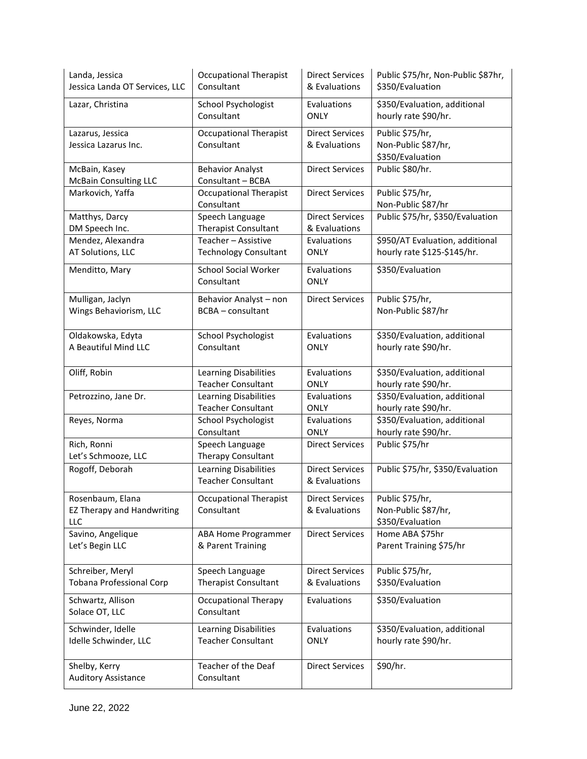| Landa, Jessica                                               | <b>Occupational Therapist</b>                             | <b>Direct Services</b>                  | Public \$75/hr, Non-Public \$87hr,                         |
|--------------------------------------------------------------|-----------------------------------------------------------|-----------------------------------------|------------------------------------------------------------|
| Jessica Landa OT Services, LLC                               | Consultant                                                | & Evaluations                           | \$350/Evaluation                                           |
| Lazar, Christina                                             | <b>School Psychologist</b>                                | Evaluations                             | \$350/Evaluation, additional                               |
|                                                              | Consultant                                                | <b>ONLY</b>                             | hourly rate \$90/hr.                                       |
| Lazarus, Jessica<br>Jessica Lazarus Inc.                     | <b>Occupational Therapist</b><br>Consultant               | <b>Direct Services</b><br>& Evaluations | Public \$75/hr,<br>Non-Public \$87/hr,<br>\$350/Evaluation |
| McBain, Kasey<br><b>McBain Consulting LLC</b>                | <b>Behavior Analyst</b><br>Consultant - BCBA              | <b>Direct Services</b>                  | Public \$80/hr.                                            |
| Markovich, Yaffa                                             | <b>Occupational Therapist</b><br>Consultant               | <b>Direct Services</b>                  | Public \$75/hr,<br>Non-Public \$87/hr                      |
| Matthys, Darcy                                               | Speech Language                                           | <b>Direct Services</b>                  | Public \$75/hr, \$350/Evaluation                           |
| DM Speech Inc.                                               | Therapist Consultant                                      | & Evaluations                           |                                                            |
| Mendez, Alexandra                                            | Teacher - Assistive                                       | Evaluations                             | \$950/AT Evaluation, additional                            |
| AT Solutions, LLC                                            | <b>Technology Consultant</b>                              | <b>ONLY</b>                             | hourly rate \$125-\$145/hr.                                |
| Menditto, Mary                                               | <b>School Social Worker</b><br>Consultant                 | Evaluations<br><b>ONLY</b>              | \$350/Evaluation                                           |
| Mulligan, Jaclyn                                             | Behavior Analyst - non                                    | <b>Direct Services</b>                  | Public \$75/hr,                                            |
| Wings Behaviorism, LLC                                       | <b>BCBA</b> - consultant                                  |                                         | Non-Public \$87/hr                                         |
| Oldakowska, Edyta                                            | School Psychologist                                       | Evaluations                             | \$350/Evaluation, additional                               |
| A Beautiful Mind LLC                                         | Consultant                                                | ONLY                                    | hourly rate \$90/hr.                                       |
| Oliff, Robin                                                 | Learning Disabilities                                     | Evaluations                             | \$350/Evaluation, additional                               |
|                                                              | <b>Teacher Consultant</b>                                 | <b>ONLY</b>                             | hourly rate \$90/hr.                                       |
| Petrozzino, Jane Dr.                                         | Learning Disabilities                                     | Evaluations                             | \$350/Evaluation, additional                               |
|                                                              | <b>Teacher Consultant</b>                                 | <b>ONLY</b>                             | hourly rate \$90/hr.                                       |
| Reyes, Norma                                                 | School Psychologist                                       | Evaluations                             | \$350/Evaluation, additional                               |
|                                                              | Consultant                                                | <b>ONLY</b>                             | hourly rate \$90/hr.                                       |
| Rich, Ronni<br>Let's Schmooze, LLC                           | Speech Language<br>Therapy Consultant                     | <b>Direct Services</b>                  | Public \$75/hr                                             |
| Rogoff, Deborah                                              | <b>Learning Disabilities</b><br><b>Teacher Consultant</b> | <b>Direct Services</b><br>& Evaluations | Public \$75/hr, \$350/Evaluation                           |
| Rosenbaum, Elana<br><b>EZ Therapy and Handwriting</b><br>LLC | <b>Occupational Therapist</b><br>Consultant               | <b>Direct Services</b><br>& Evaluations | Public \$75/hr,<br>Non-Public \$87/hr,<br>\$350/Evaluation |
| Savino, Angelique                                            | <b>ABA Home Programmer</b>                                | <b>Direct Services</b>                  | Home ABA \$75hr                                            |
| Let's Begin LLC                                              | & Parent Training                                         |                                         | Parent Training \$75/hr                                    |
| Schreiber, Meryl                                             | Speech Language                                           | <b>Direct Services</b>                  | Public \$75/hr,                                            |
| Tobana Professional Corp                                     | Therapist Consultant                                      | & Evaluations                           | \$350/Evaluation                                           |
| Schwartz, Allison<br>Solace OT, LLC                          | <b>Occupational Therapy</b><br>Consultant                 | Evaluations                             | \$350/Evaluation                                           |
| Schwinder, Idelle                                            | Learning Disabilities                                     | Evaluations                             | \$350/Evaluation, additional                               |
| Idelle Schwinder, LLC                                        | <b>Teacher Consultant</b>                                 | <b>ONLY</b>                             | hourly rate \$90/hr.                                       |
| Shelby, Kerry<br><b>Auditory Assistance</b>                  | Teacher of the Deaf<br>Consultant                         | <b>Direct Services</b>                  | \$90/hr.                                                   |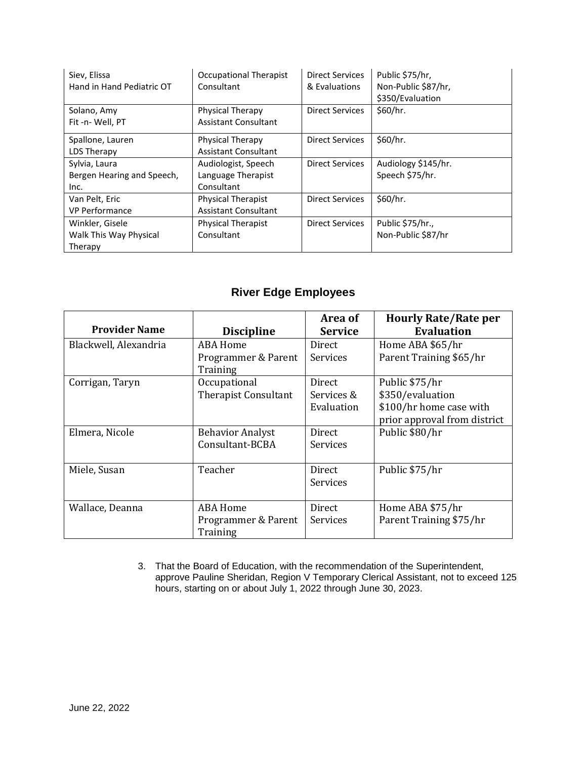| Siev, Elissa               | <b>Occupational Therapist</b> | <b>Direct Services</b> | Public \$75/hr,     |
|----------------------------|-------------------------------|------------------------|---------------------|
| Hand in Hand Pediatric OT  | Consultant                    | & Evaluations          | Non-Public \$87/hr, |
|                            |                               |                        | \$350/Evaluation    |
| Solano, Amy                | Physical Therapy              | Direct Services        | \$60/hr.            |
| Fit-n-Well, PT             | <b>Assistant Consultant</b>   |                        |                     |
| Spallone, Lauren           | Physical Therapy              | <b>Direct Services</b> | \$60/hr.            |
| LDS Therapy                | <b>Assistant Consultant</b>   |                        |                     |
| Sylvia, Laura              | Audiologist, Speech           | <b>Direct Services</b> | Audiology \$145/hr. |
| Bergen Hearing and Speech, | Language Therapist            |                        | Speech \$75/hr.     |
| Inc.                       | Consultant                    |                        |                     |
| Van Pelt, Eric             | <b>Physical Therapist</b>     | <b>Direct Services</b> | \$60/hr.            |
| <b>VP Performance</b>      | <b>Assistant Consultant</b>   |                        |                     |
| Winkler, Gisele            | <b>Physical Therapist</b>     | <b>Direct Services</b> | Public \$75/hr.,    |
| Walk This Way Physical     | Consultant                    |                        | Non-Public \$87/hr  |
| Therapy                    |                               |                        |                     |

# **River Edge Employees**

|                       |                             | Area of        | <b>Hourly Rate/Rate per</b>  |
|-----------------------|-----------------------------|----------------|------------------------------|
| <b>Provider Name</b>  | <b>Discipline</b>           | <b>Service</b> | <b>Evaluation</b>            |
| Blackwell, Alexandria | ABA Home                    | Direct         | Home ABA \$65/hr             |
|                       | Programmer & Parent         | Services       | Parent Training \$65/hr      |
|                       | Training                    |                |                              |
| Corrigan, Taryn       | Occupational                | Direct         | Public \$75/hr               |
|                       | <b>Therapist Consultant</b> | Services &     | \$350/evaluation             |
|                       |                             | Evaluation     | \$100/hr home case with      |
|                       |                             |                | prior approval from district |
| Elmera, Nicole        | <b>Behavior Analyst</b>     | Direct         | Public \$80/hr               |
|                       | Consultant-BCBA             | Services       |                              |
|                       |                             |                |                              |
| Miele, Susan          | Teacher                     | Direct         | Public \$75/hr               |
|                       |                             | Services       |                              |
|                       |                             |                |                              |
| Wallace, Deanna       | ABA Home                    | Direct         | Home ABA \$75/hr             |
|                       | Programmer & Parent         | Services       | Parent Training \$75/hr      |
|                       | Training                    |                |                              |

3. That the Board of Education, with the recommendation of the Superintendent, approve Pauline Sheridan, Region V Temporary Clerical Assistant, not to exceed 125 hours, starting on or about July 1, 2022 through June 30, 2023.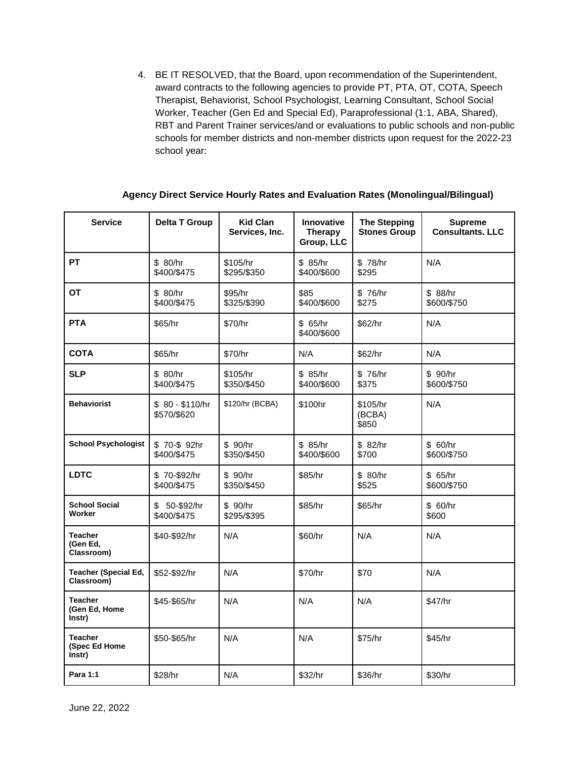4. BE IT RESOLVED, that the Board, upon recommendation of the Superintendent, award contracts to the following agencies to provide PT, PTA, OT, COTA, Speech Therapist, Behaviorist, School Psychologist, Learning Consultant, School Social Worker, Teacher (Gen Ed and Special Ed), Paraprofessional (1:1, ABA, Shared), RBT and Parent Trainer services/and or evaluations to public schools and non-public schools for member districts and non-member districts upon request for the 2022-23 school year:

|  | Agency Direct Service Hourly Rates and Evaluation Rates (Monolingual/Bilingual) |
|--|---------------------------------------------------------------------------------|
|--|---------------------------------------------------------------------------------|

| <b>Service</b>                            | <b>Delta T Group</b>            | <b>Kid Clan</b><br>Services, Inc. | Innovative<br>Therapy<br>Group, LLC | <b>The Stepping</b><br><b>Stones Group</b> | <b>Supreme</b><br><b>Consultants, LLC</b> |
|-------------------------------------------|---------------------------------|-----------------------------------|-------------------------------------|--------------------------------------------|-------------------------------------------|
| <b>PT</b>                                 | \$ 80/hr<br>\$400/\$475         | \$105/hr<br>\$295/\$350           | \$85/hr<br>\$400/\$600              | \$78/hr<br>\$295                           | N/A                                       |
| ОT                                        | \$ 80/hr<br>\$400/\$475         | \$95/hr<br>\$325/\$390            | \$85<br>\$400/\$600                 | \$76/hr<br>\$275                           | \$88/hr<br>\$600/\$750                    |
| <b>PTA</b>                                | \$65/hr                         | \$70/hr                           | \$65/hr<br>\$400/\$600              | \$62/hr                                    | N/A                                       |
| <b>COTA</b>                               | \$65/hr                         | \$70/hr                           | N/A                                 | \$62/hr                                    | N/A                                       |
| <b>SLP</b>                                | \$ 80/hr<br>\$400/\$475         | \$105/hr<br>\$350/\$450           | \$ 85/hr<br>\$400/\$600             | \$76/hr<br>\$375                           | \$ 90/hr<br>\$600/\$750                   |
| <b>Behaviorist</b>                        | $$80 - $110/hr$<br>\$570/\$620  | \$120/hr (BCBA)                   | \$100hr                             | \$105/hr<br>(BCBA)<br>\$850                | N/A                                       |
| <b>School Psychologist</b>                | \$70-\$92hr<br>\$400/\$475      | \$ 90/hr<br>\$350/\$450           | \$85/hr<br>\$400/\$600              | \$82/hr<br>\$700                           | \$ 60/hr<br>\$600/\$750                   |
| <b>LDTC</b>                               | \$70-\$92/hr<br>\$400/\$475     | \$ 90/hr<br>\$350/\$450           | \$85/hr                             | \$80/hr<br>\$525                           | \$65/hr<br>\$600/\$750                    |
| <b>School Social</b><br>Worker            | \$<br>50-\$92/hr<br>\$400/\$475 | \$90/hr<br>\$295/\$395            | \$85/hr                             | \$65/hr                                    | \$60/hr<br>\$600                          |
| <b>Teacher</b><br>(Gen Ed,<br>Classroom)  | \$40-\$92/hr                    | N/A                               | \$60/hr                             | N/A                                        | N/A                                       |
| <b>Teacher (Special Ed,</b><br>Classroom) | \$52-\$92/hr                    | N/A                               | \$70/hr                             | \$70                                       | N/A                                       |
| <b>Teacher</b><br>(Gen Ed, Home<br>Instr) | \$45-\$65/hr                    | N/A                               | N/A                                 | N/A                                        | \$47/hr                                   |
| <b>Teacher</b><br>(Spec Ed Home<br>Instr) | \$50-\$65/hr                    | N/A                               | N/A                                 | \$75/hr                                    | \$45/hr                                   |
| Para 1:1                                  | \$28/hr                         | N/A                               | \$32/hr                             | \$36/hr                                    | \$30/hr                                   |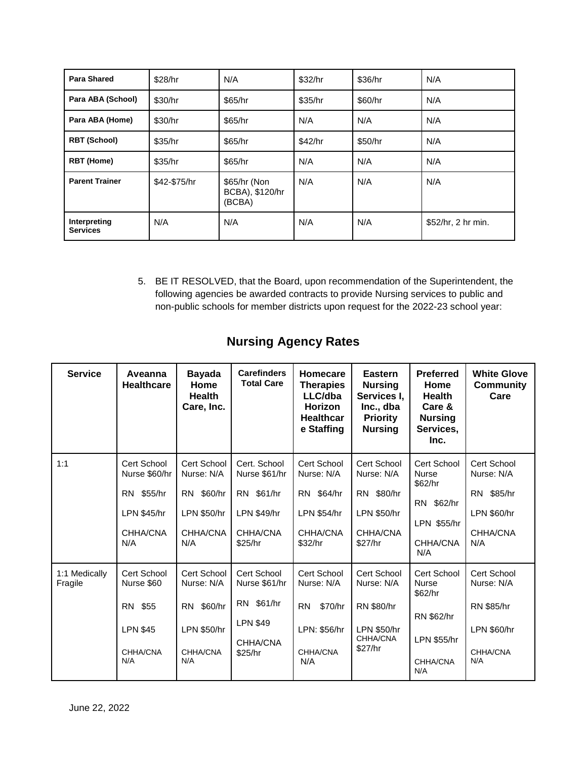| <b>Para Shared</b>              | \$28/hr      | N/A                                       | \$32/hr | \$36/hr | N/A                |
|---------------------------------|--------------|-------------------------------------------|---------|---------|--------------------|
| Para ABA (School)               | \$30/hr      | \$65/hr                                   | \$35/hr | \$60/hr | N/A                |
| Para ABA (Home)                 | \$30/hr      | \$65/hr                                   | N/A     | N/A     | N/A                |
| <b>RBT (School)</b>             | \$35/hr      | \$65/hr                                   | \$42/hr | \$50/hr | N/A                |
| <b>RBT</b> (Home)               | \$35/hr      | \$65/hr                                   | N/A     | N/A     | N/A                |
| <b>Parent Trainer</b>           | \$42-\$75/hr | \$65/hr (Non<br>BCBA), \$120/hr<br>(BCBA) | N/A     | N/A     | N/A                |
| Interpreting<br><b>Services</b> | N/A          | N/A                                       | N/A     | N/A     | \$52/hr, 2 hr min. |

5. BE IT RESOLVED, that the Board, upon recommendation of the Superintendent, the following agencies be awarded contracts to provide Nursing services to public and non-public schools for member districts upon request for the 2022-23 school year:

| <b>Service</b>           | Aveanna<br><b>Healthcare</b>                                                        | <b>Bayada</b><br>Home<br><b>Health</b><br>Care, Inc.                                 | <b>Carefinders</b><br><b>Total Care</b>                                              | Homecare<br><b>Therapies</b><br>LLC/dba<br>Horizon<br><b>Healthcar</b><br>e Staffing | Eastern<br><b>Nursing</b><br>Services I,<br>Inc., dba<br><b>Priority</b><br><b>Nursing</b> | <b>Preferred</b><br>Home<br><b>Health</b><br>Care &<br><b>Nursing</b><br>Services,<br>Inc.    | <b>White Glove</b><br><b>Community</b><br>Care                                   |
|--------------------------|-------------------------------------------------------------------------------------|--------------------------------------------------------------------------------------|--------------------------------------------------------------------------------------|--------------------------------------------------------------------------------------|--------------------------------------------------------------------------------------------|-----------------------------------------------------------------------------------------------|----------------------------------------------------------------------------------|
| 1:1                      | Cert School<br>Nurse \$60/hr<br>RN \$55/hr<br><b>LPN \$45/hr</b><br>CHHA/CNA<br>N/A | Cert School<br>Nurse: N/A<br>RN \$60/hr<br><b>LPN \$50/hr</b><br>CHHA/CNA<br>N/A     | Cert. School<br>Nurse \$61/hr<br>RN \$61/hr<br>LPN \$49/hr<br>CHHA/CNA<br>\$25/hr    | Cert School<br>Nurse: N/A<br>RN \$64/hr<br><b>LPN \$54/hr</b><br>CHHA/CNA<br>\$32/hr | Cert School<br>Nurse: N/A<br>RN \$80/hr<br><b>LPN \$50/hr</b><br>CHHA/CNA<br>\$27/hr       | Cert School<br><b>Nurse</b><br>\$62/hr<br>RN \$62/hr<br>LPN \$55/hr<br>CHHA/CNA<br>N/A        | Cert School<br>Nurse: N/A<br>RN \$85/hr<br>LPN \$60/hr<br>CHHA/CNA<br>N/A        |
| 1:1 Medically<br>Fragile | Cert School<br>Nurse \$60<br>RN \$55<br><b>LPN \$45</b><br>CHHA/CNA<br>N/A          | Cert School<br>Nurse: N/A<br>\$60/hr<br>RN.<br><b>LPN \$50/hr</b><br>CHHA/CNA<br>N/A | Cert School<br>Nurse \$61/hr<br>RN \$61/hr<br><b>LPN \$49</b><br>CHHA/CNA<br>\$25/hr | Cert School<br>Nurse: N/A<br>\$70/hr<br><b>RN</b><br>LPN: \$56/hr<br>CHHA/CNA<br>N/A | Cert School<br>Nurse: N/A<br>RN \$80/hr<br><b>LPN \$50/hr</b><br>CHHA/CNA<br>\$27/hr       | Cert School<br><b>Nurse</b><br>\$62/hr<br>RN \$62/hr<br><b>LPN \$55/hr</b><br>CHHA/CNA<br>N/A | Cert School<br>Nurse: N/A<br>RN \$85/hr<br><b>LPN \$60/hr</b><br>CHHA/CNA<br>N/A |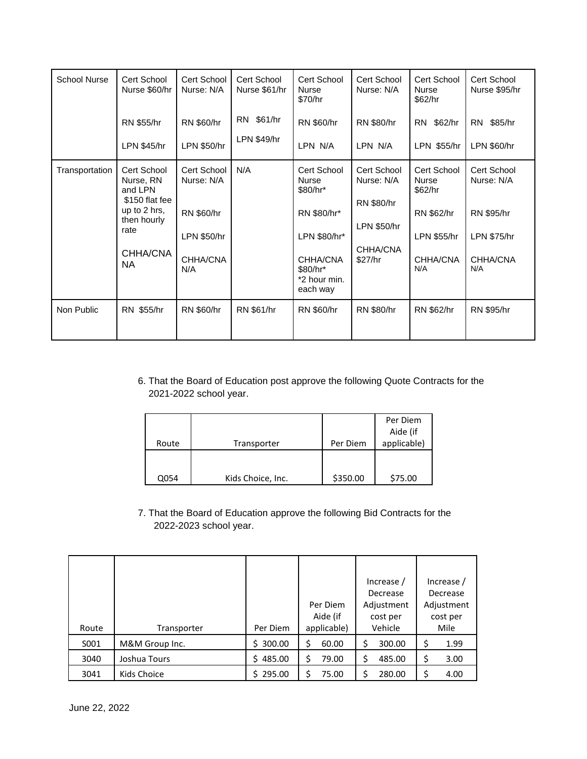| <b>School Nurse</b> | Cert School<br>Nurse \$60/hr                                                                                   | Cert School<br>Nurse: N/A                                                        | Cert School<br>Nurse \$61/hr | Cert School<br><b>Nurse</b><br>\$70/hr                                                                                     | Cert School<br>Nurse: N/A                                                     | Cert School<br><b>Nurse</b><br>\$62/hr                                                 | Cert School<br>Nurse \$95/hr                                                            |
|---------------------|----------------------------------------------------------------------------------------------------------------|----------------------------------------------------------------------------------|------------------------------|----------------------------------------------------------------------------------------------------------------------------|-------------------------------------------------------------------------------|----------------------------------------------------------------------------------------|-----------------------------------------------------------------------------------------|
|                     | <b>RN \$55/hr</b><br>LPN \$45/hr                                                                               | RN \$60/hr<br>LPN \$50/hr                                                        | RN \$61/hr<br>LPN \$49/hr    | RN \$60/hr<br>LPN N/A                                                                                                      | RN \$80/hr<br>LPN N/A                                                         | \$62/hr<br><b>RN</b><br>LPN \$55/hr                                                    | RN \$85/hr<br>LPN \$60/hr                                                               |
| Transportation      | Cert School<br>Nurse, RN<br>and LPN<br>\$150 flat fee<br>up to 2 hrs,<br>then hourly<br>rate<br>CHHA/CNA<br>NA | <b>Cert School</b><br>Nurse: N/A<br>RN \$60/hr<br>LPN \$50/hr<br>CHHA/CNA<br>N/A | N/A                          | Cert School<br><b>Nurse</b><br>\$80/hr*<br>RN \$80/hr*<br>LPN \$80/hr*<br>CHHA/CNA<br>\$80/hr*<br>*2 hour min.<br>each way | Cert School<br>Nurse: N/A<br>RN \$80/hr<br>LPN \$50/hr<br>CHHA/CNA<br>\$27/hr | Cert School<br><b>Nurse</b><br>\$62/hr<br>RN \$62/hr<br>LPN \$55/hr<br>CHHA/CNA<br>N/A | Cert School<br>Nurse: N/A<br><b>RN \$95/hr</b><br><b>LPN \$75/hr</b><br>CHHA/CNA<br>N/A |
| Non Public          | RN \$55/hr                                                                                                     | RN \$60/hr                                                                       | <b>RN \$61/hr</b>            | <b>RN \$60/hr</b>                                                                                                          | RN \$80/hr                                                                    | RN \$62/hr                                                                             | <b>RN \$95/hr</b>                                                                       |

6. That the Board of Education post approve the following Quote Contracts for the 2021-2022 school year.

|       |                   |          | Per Diem    |
|-------|-------------------|----------|-------------|
|       |                   |          | Aide (if    |
| Route | Transporter       | Per Diem | applicable) |
|       |                   |          |             |
|       |                   |          |             |
| 2054  | Kids Choice, Inc. | \$350.00 | \$75.00     |

7. That the Board of Education approve the following Bid Contracts for the 2022-2023 school year.

|       |                |              | Increase /  |              | Increase / |
|-------|----------------|--------------|-------------|--------------|------------|
|       |                |              |             | Decrease     | Decrease   |
|       |                |              | Per Diem    | Adjustment   | Adjustment |
|       |                |              | Aide (if    | cost per     | cost per   |
| Route | Transporter    | Per Diem     | applicable) | Vehicle      | Mile       |
| S001  | M&M Group Inc. | 300.00<br>S. | 60.00       | 300.00<br>\$ | 1.99       |
| 3040  | Joshua Tours   | 485.00<br>Ś. | Ś.<br>79.00 | \$<br>485.00 | 3.00       |
| 3041  | Kids Choice    | 295.00       | 75.00       | 280.00       | 4.00       |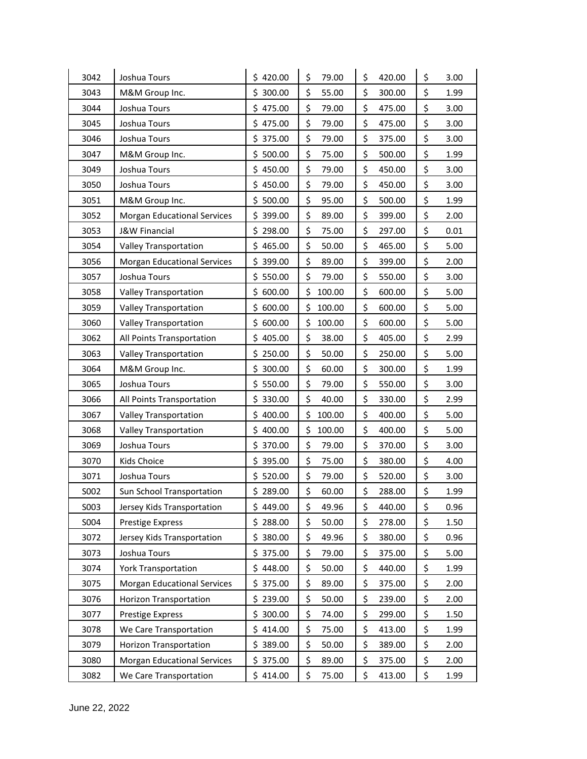| 3042 | Joshua Tours                       | \$420.00     | \$<br>79.00  | \$<br>420.00 | \$<br>3.00 |
|------|------------------------------------|--------------|--------------|--------------|------------|
| 3043 | M&M Group Inc.                     | Ś<br>300.00  | \$<br>55.00  | \$<br>300.00 | \$<br>1.99 |
| 3044 | Joshua Tours                       | \$475.00     | \$<br>79.00  | \$<br>475.00 | \$<br>3.00 |
| 3045 | Joshua Tours                       | \$475.00     | \$<br>79.00  | \$<br>475.00 | \$<br>3.00 |
| 3046 | Joshua Tours                       | \$<br>375.00 | \$<br>79.00  | \$<br>375.00 | \$<br>3.00 |
| 3047 | M&M Group Inc.                     | \$<br>500.00 | \$<br>75.00  | \$<br>500.00 | \$<br>1.99 |
| 3049 | Joshua Tours                       | \$<br>450.00 | \$<br>79.00  | \$<br>450.00 | \$<br>3.00 |
| 3050 | Joshua Tours                       | \$<br>450.00 | \$<br>79.00  | \$<br>450.00 | \$<br>3.00 |
| 3051 | M&M Group Inc.                     | \$<br>500.00 | \$<br>95.00  | \$<br>500.00 | \$<br>1.99 |
| 3052 | <b>Morgan Educational Services</b> | 399.00<br>\$ | \$<br>89.00  | \$<br>399.00 | \$<br>2.00 |
| 3053 | <b>J&amp;W Financial</b>           | \$<br>298.00 | \$<br>75.00  | \$<br>297.00 | \$<br>0.01 |
| 3054 | Valley Transportation              | \$<br>465.00 | \$<br>50.00  | \$<br>465.00 | \$<br>5.00 |
| 3056 | <b>Morgan Educational Services</b> | \$<br>399.00 | \$<br>89.00  | \$<br>399.00 | \$<br>2.00 |
| 3057 | Joshua Tours                       | \$<br>550.00 | \$<br>79.00  | \$<br>550.00 | \$<br>3.00 |
| 3058 | Valley Transportation              | \$600.00     | \$<br>100.00 | \$<br>600.00 | \$<br>5.00 |
| 3059 | Valley Transportation              | 600.00<br>\$ | \$<br>100.00 | \$<br>600.00 | \$<br>5.00 |
| 3060 | Valley Transportation              | \$<br>600.00 | \$<br>100.00 | \$<br>600.00 | \$<br>5.00 |
| 3062 | All Points Transportation          | \$<br>405.00 | \$<br>38.00  | \$<br>405.00 | \$<br>2.99 |
| 3063 | Valley Transportation              | \$<br>250.00 | \$<br>50.00  | \$<br>250.00 | \$<br>5.00 |
| 3064 | M&M Group Inc.                     | \$<br>300.00 | \$<br>60.00  | \$<br>300.00 | \$<br>1.99 |
| 3065 | Joshua Tours                       | \$<br>550.00 | \$<br>79.00  | \$<br>550.00 | \$<br>3.00 |
| 3066 | All Points Transportation          | \$<br>330.00 | \$<br>40.00  | \$<br>330.00 | \$<br>2.99 |
| 3067 | Valley Transportation              | \$<br>400.00 | \$<br>100.00 | \$<br>400.00 | \$<br>5.00 |
| 3068 | Valley Transportation              | \$<br>400.00 | \$<br>100.00 | \$<br>400.00 | \$<br>5.00 |
| 3069 | Joshua Tours                       | \$370.00     | \$<br>79.00  | \$<br>370.00 | \$<br>3.00 |
| 3070 | Kids Choice                        | \$<br>395.00 | \$<br>75.00  | \$<br>380.00 | \$<br>4.00 |
| 3071 | Joshua Tours                       | 520.00<br>\$ | \$<br>79.00  | \$<br>520.00 | \$<br>3.00 |
| S002 | Sun School Transportation          | \$289.00     | \$<br>60.00  | \$<br>288.00 | \$<br>1.99 |
| S003 | Jersey Kids Transportation         | \$<br>449.00 | \$<br>49.96  | \$<br>440.00 | \$<br>0.96 |
| S004 | <b>Prestige Express</b>            | \$288.00     | \$<br>50.00  | \$<br>278.00 | \$<br>1.50 |
| 3072 | Jersey Kids Transportation         | \$380.00     | \$<br>49.96  | \$<br>380.00 | \$<br>0.96 |
| 3073 | Joshua Tours                       | \$<br>375.00 | \$<br>79.00  | \$<br>375.00 | \$<br>5.00 |
| 3074 | <b>York Transportation</b>         | \$448.00     | \$<br>50.00  | \$<br>440.00 | \$<br>1.99 |
| 3075 | <b>Morgan Educational Services</b> | \$375.00     | \$<br>89.00  | \$<br>375.00 | \$<br>2.00 |
| 3076 | <b>Horizon Transportation</b>      | \$239.00     | \$<br>50.00  | \$<br>239.00 | \$<br>2.00 |
| 3077 | <b>Prestige Express</b>            | 300.00<br>\$ | \$<br>74.00  | \$<br>299.00 | \$<br>1.50 |
| 3078 | We Care Transportation             | \$414.00     | \$<br>75.00  | \$<br>413.00 | \$<br>1.99 |
| 3079 | <b>Horizon Transportation</b>      | 389.00<br>\$ | \$<br>50.00  | \$<br>389.00 | \$<br>2.00 |
| 3080 | <b>Morgan Educational Services</b> | \$375.00     | \$<br>89.00  | \$<br>375.00 | \$<br>2.00 |
| 3082 | We Care Transportation             | \$414.00     | \$<br>75.00  | \$<br>413.00 | \$<br>1.99 |